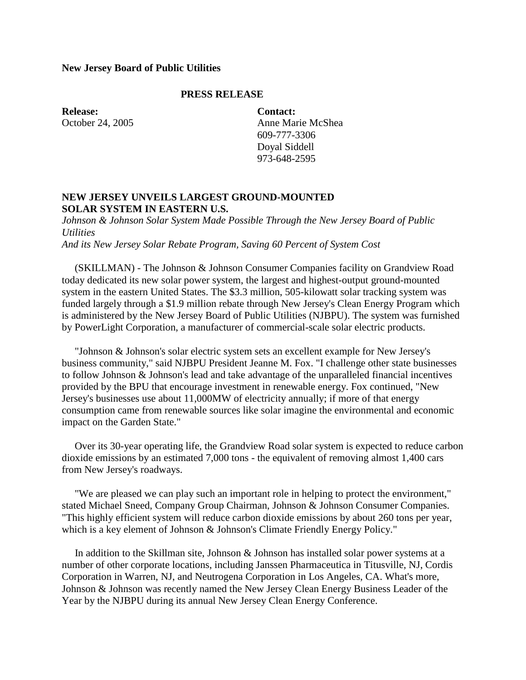#### **New Jersey Board of Public Utilities**

# **PRESS RELEASE**

**Release:** October 24, 2005 **Contact:** Anne Marie McShea 609-777-3306 Doyal Siddell 973-648-2595

## **NEW JERSEY UNVEILS LARGEST GROUND-MOUNTED SOLAR SYSTEM IN EASTERN U.S.**

*Johnson & Johnson Solar System Made Possible Through the New Jersey Board of Public Utilities And its New Jersey Solar Rebate Program, Saving 60 Percent of System Cost*

 (SKILLMAN) - The Johnson & Johnson Consumer Companies facility on Grandview Road today dedicated its new solar power system, the largest and highest-output ground-mounted system in the eastern United States. The \$3.3 million, 505-kilowatt solar tracking system was funded largely through a \$1.9 million rebate through New Jersey's Clean Energy Program which is administered by the New Jersey Board of Public Utilities (NJBPU). The system was furnished by PowerLight Corporation, a manufacturer of commercial-scale solar electric products.

 "Johnson & Johnson's solar electric system sets an excellent example for New Jersey's business community," said NJBPU President Jeanne M. Fox. "I challenge other state businesses to follow Johnson & Johnson's lead and take advantage of the unparalleled financial incentives provided by the BPU that encourage investment in renewable energy. Fox continued, "New Jersey's businesses use about 11,000MW of electricity annually; if more of that energy consumption came from renewable sources like solar imagine the environmental and economic impact on the Garden State."

 Over its 30-year operating life, the Grandview Road solar system is expected to reduce carbon dioxide emissions by an estimated 7,000 tons - the equivalent of removing almost 1,400 cars from New Jersey's roadways.

 "We are pleased we can play such an important role in helping to protect the environment," stated Michael Sneed, Company Group Chairman, Johnson & Johnson Consumer Companies. "This highly efficient system will reduce carbon dioxide emissions by about 260 tons per year, which is a key element of Johnson & Johnson's Climate Friendly Energy Policy."

 In addition to the Skillman site, Johnson & Johnson has installed solar power systems at a number of other corporate locations, including Janssen Pharmaceutica in Titusville, NJ, Cordis Corporation in Warren, NJ, and Neutrogena Corporation in Los Angeles, CA. What's more, Johnson & Johnson was recently named the New Jersey Clean Energy Business Leader of the Year by the NJBPU during its annual New Jersey Clean Energy Conference.